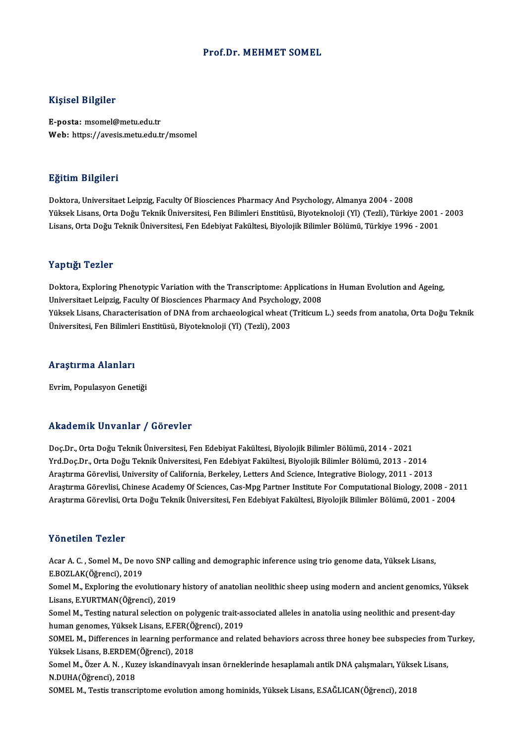#### Prof.Dr.MEHMET SOMEL

### Kişisel Bilgiler

E-posta: msomel@metu.edu.tr Web: https://avesis.metu.edu.tr/msomel

## Eğitim Bilgileri

Doktora, Universitaet Leipzig, Faculty Of Biosciences Pharmacy And Psychology, Almanya 2004 - 2008 Yüksek Lisans, Orta Doğu Teknik Üniversitesi, Fen Bilimleri Enstitüsü, Biyoteknoloji (Yl) (Tezli), Türkiye 2001 - 2003 Lisans, Orta Doğu Teknik Üniversitesi, Fen Edebiyat Fakültesi, Biyolojik Bilimler Bölümü, Türkiye 1996 - 2001

#### Yaptığı Tezler

Doktora, Exploring Phenotypic Variation with the Transcriptome: Applications in Human Evolution and Ageing, Universitaet Leipzig, Faculty Of Biosciences Pharmacy And Psychology, 2008 Doktora, Exploring Phenotypic Variation with the Transcriptome: Applications in Human Evolution and Ageing,<br>Universitaet Leipzig, Faculty Of Biosciences Pharmacy And Psychology, 2008<br>Yüksek Lisans, Characterisation of DNA Universitaet Leipzig, Faculty Of Biosciences Pharmacy And Psycholog<br>Yüksek Lisans, Characterisation of DNA from archaeological wheat (<br>Üniversitesi, Fen Bilimleri Enstitüsü, Biyoteknoloji (Yl) (Tezli), 2003

## <sub>universitesi, ren Bilimier<br>Araştırma Alanları</sub> **Araştırma Alanları**<br>Evrim, Populasyon Genetiği

# Akademik Unvanlar / Görevler

Akademik Unvanlar / Görevler<br>Doç.Dr., Orta Doğu Teknik Üniversitesi, Fen Edebiyat Fakültesi, Biyolojik Bilimler Bölümü, 2014 - 2021<br>Yrd Dos Dr., Orta Doğu Teknik Üniversitesi, Fen Edebiyat Fakültesi, Biyolojik Bilimler Böl Yrkuu Sirik Sirvaniar 7 u Si Sveel<br>Doç.Dr., Orta Doğu Teknik Üniversitesi, Fen Edebiyat Fakültesi, Biyolojik Bilimler Bölümü, 2014 - 2021<br>Yrd.Doç.Dr., Orta Doğu Teknik Üniversitesi, Fen Edebiyat Fakültesi, Biyolojik Biliml Doç.Dr., Orta Doğu Teknik Üniversitesi, Fen Edebiyat Fakültesi, Biyolojik Bilimler Bölümü, 2014 - 2021<br>Yrd.Doç.Dr., Orta Doğu Teknik Üniversitesi, Fen Edebiyat Fakültesi, Biyolojik Bilimler Bölümü, 2013 - 2014<br>Araştırma Gö Yrd.Doç.Dr., Orta Doğu Teknik Üniversitesi, Fen Edebiyat Fakültesi, Biyolojik Bilimler Bölümü, 2013 - 2014<br>Araştırma Görevlisi, University of California, Berkeley, Letters And Science, Integrative Biology, 2011 - 2013<br>Araş Araştırma Görevlisi, Orta Doğu Teknik Üniversitesi, Fen Edebiyat Fakültesi, Biyolojik Bilimler Bölümü, 2001 - 2004

## Yönetilen Tezler

Acar A. C., Somel M., De novo SNP calling and demographic inference using trio genome data, Yüksek Lisans, E.BOZLAK(Öğrenci),2019 Acar A. C. , Somel M., De novo SNP calling and demographic inference using trio genome data, Yüksek Lisans,<br>E.BOZLAK(Öğrenci), 2019<br>Somel M., Exploring the evolutionary history of anatolian neolithic sheep using modern and

E.BOZLAK(Öğrenci), 2019<br>Somel M., Exploring the evolutionary<br>Lisans, E.YURTMAN(Öğrenci), 2019<br>Somel M. Testing natural selestion e Somel M., Exploring the evolutionary history of anatolian neolithic sheep using modern and ancient genomics, Yük<br>Lisans, E.YURTMAN(Öğrenci), 2019<br>Somel M., Testing natural selection on polygenic trait-associated alleles in

Lisans, E.YURTMAN(Öğrenci), 2019<br>Somel M., Testing natural selection on polygenic trait-as<br>human genomes, Yüksek Lisans, E.FER(Öğrenci), 2019<br>SOMEL M. Differences in learning nerformange and rel Somel M., Testing natural selection on polygenic trait-associated alleles in anatolia using neolithic and present-day<br>human genomes, Yüksek Lisans, E.FER(Öğrenci), 2019<br>SOMEL M., Differences in learning performance and rel

human genomes, Yüksek Lisans, E.FER(Öğrenci), 2019<br>SOMEL M., Differences in learning performance and related behaviors across three honey bee subspecies from '<br>Yüksek Lisans, B.ERDEM(Öğrenci), 2018<br>Somel M., Özer A. N. , K SOMEL M., Differences in learning performance and related behaviors across three honey bee subspecies from Turkey,<br>Yüksek Lisans, B.ERDEM(Öğrenci), 2018<br>Somel M., Özer A. N. , Kuzey iskandinavyalı insan örneklerinde hesapl Yüksek Lisans, B.ERDEM(Öğrenci), 2018

SOMEL M., Testis transcriptome evolution among hominids, Yüksek Lisans, E.SAĞLICAN(Öğrenci), 2018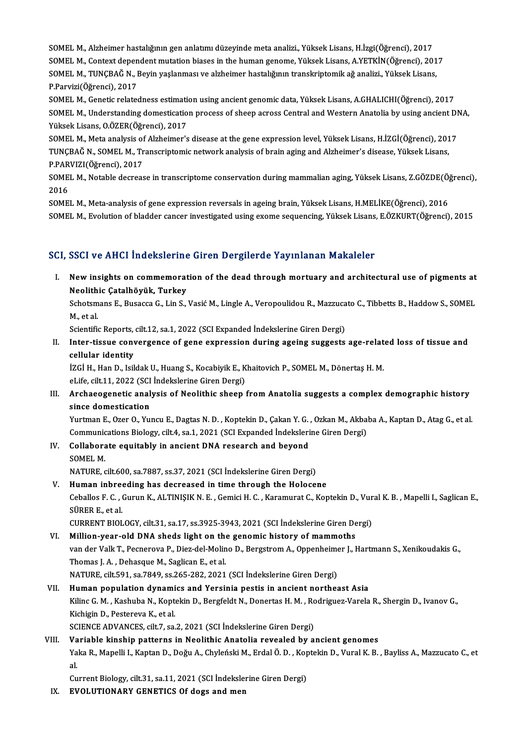SOMEL M., Alzheimer hastalığının gen anlatımı düzeyinde meta analizi., Yüksek Lisans, H.İzgi(Öğrenci), 2017<br>SOMEL M. Context dependent mutation biases in the buman geneme Vüksek Lisans, H.İzgi(Öğrenci), 2017 SOMEL M., Alzheimer hastalığının gen anlatımı düzeyinde meta analizi., Yüksek Lisans, H.İzgi(Öğrenci), 2017<br>SOMEL M., Context dependent mutation biases in the human genome, Yüksek Lisans, A.YETKİN(Öğrenci), 2017<br>SOMEL M., SOMEL M., Alzheimer hastalığının gen anlatımı düzeyinde meta analizi., Yüksek Lisans, H.İzgi(Öğrenci), 2017<br>SOMEL M., Context dependent mutation biases in the human genome, Yüksek Lisans, A.YETKİN(Öğrenci), 201<br>SOMEL M., T SOMEL M., Context dependent mutation biases in the human genome, Yüksek Lisans, A.YETKİN(Öğrenci), 2017<br>SOMEL M., TUNÇBAĞ N., Beyin yaşlanması ve alzheimer hastalığının transkriptomik ağ analizi., Yüksek Lisans,<br>P.Parvizi( SOMEL M., TUNÇBAĞ N., Beyin yaşlanması ve alzheimer hastalığının transkriptomik ağ analizi., Yüksek Lisans,<br>P.Parvizi(Öğrenci), 2017<br>SOMEL M., Genetic relatedness estimation using ancient genomic data, Yüksek Lisans, A.GHA P.Parvizi(Öğrenci), 2017<br>SOMEL M., Genetic relatedness estimation using ancient genomic data, Yüksek Lisans, A.GHALICHI(Öğrenci), 2017<br>SOMEL M., Understanding domestication process of sheep across Central and Western Anato

SOMEL M., Genetic relatedness estimati<br>SOMEL M., Understanding domesticatio<br>Yüksek Lisans, O.ÖZER(Öğrenci), 2017<br>SOMEL M. Meta analysis of Alzbeimer's SOMEL M., Understanding domestication process of sheep across Central and Western Anatolia by using ancient DI<br>Yüksek Lisans, O.ÖZER(Öğrenci), 2017<br>SOMEL M., Meta analysis of Alzheimer's disease at the gene expression leve

Yüksek Lisans, O.ÖZER(Öğrenci), 2017<br>SOMEL M., Meta analysis of Alzheimer's disease at the gene expression level, Yüksek Lisans, H.İZGİ(Öğrenci), 2017<br>TUNCBAĞ N., SOMEL M., Transcriptomic network analysis of brain aging an SOMEL M., Meta analysis of<br>TUNÇBAĞ N., SOMEL M., Tr<br>P.PARVIZI(Öğrenci), 2017<br>SOMEL M. Natable desress TUNÇBAĞ N., SOMEL M., Transcriptomic network analysis of brain aging and Alzheimer's disease, Yüksek Lisans,<br>P.PARVIZI(Öğrenci), 2017<br>SOMEL M., Notable decrease in transcriptome conservation during mammalian aging, Yüksek

P.PAR<br>SOME<br>2016<br>SOME SOMEL M., Notable decrease in transcriptome conservation during mammalian aging, Yüksek Lisans, Z.GÖZDE(Ö)<br>2016<br>SOMEL M., Meta-analysis of gene expression reversals in ageing brain, Yüksek Lisans, H.MELİKE(Öğrenci), 2016<br>S

2016<br>SOMEL M., Meta-analysis of gene expression reversals in ageing brain, Yüksek Lisans, H.MELİKE(Öğrenci), 2016<br>SOMEL M., Evolution of bladder cancer investigated using exome sequencing, Yüksek Lisans, E.ÖZKURT(Öğrenci),

## SCI, SSCI ve AHCI İndekslerine Giren Dergilerde Yayınlanan Makaleler

CI, SSCI ve AHCI Indekslerine Giren Dergilerde Yayınlanan Makaleler<br>I. New insights on commemoration of the dead through mortuary and architectural use of pigments at<br>Neelithis Catalhävük, Turkey New insights on commemorat<br>Neolithic Çatalhöyük, Turkey<br>Schattmans E. Busacca C. Lin S. New insights on commemoration of the dead through mortuary and architectural use of pigments at<br>Neolithic Çatalhöyük, Turkey<br>Schotsmans E., Busacca G., Lin S., Vasić M., Lingle A., Veropoulidou R., Mazzucato C., Tibbetts B

Neolith<br>Schotsm<br>M., et al.<br>Scientifie Schotsmans E., Busacca G., Lin S., Vasić M., Lingle A., Veropoulidou R., Mazzuca<br>M., et al.<br>Scientific Reports, cilt.12, sa.1, 2022 (SCI Expanded İndekslerine Giren Dergi)<br>Inter tissue senyergenge of gene expression during

M., et al.<br>Scientific Reports, cilt.12, sa.1, 2022 (SCI Expanded İndekslerine Giren Dergi)<br>II. Inter-tissue convergence of gene expression during ageing suggests age-related loss of tissue and<br>cellular identity Scientific Reports,<br>Inter-tissue conv<br>cellular identity<br>izci u uan D. Isil Inter-tissue convergence of gene expression during ageing suggests age-relat<br>cellular identity<br>İZGİ H., Han D., Isildak U., Huang S., Kocabiyik E., Khaitovich P., SOMEL M., Dönertaş H. M.<br>el ife silt 11 2022 (SCL Indeksler

eellular identity<br>İZGİ H., Han D., Isildak U., Huang S., Kocabiyik E., K<br>eLife, cilt.11, 2022 (SCI İndekslerine Giren Dergi)<br>Arshaeossanetis analysis of Noolithis sheen

IZGİ H., Han D., Isildak U., Huang S., Kocabiyik E., Khaitovich P., SOMEL M., Dönertaş H. M.<br>eLife, cilt.11, 2022 (SCI İndekslerine Giren Dergi)<br>III. Archaeogenetic analysis of Neolithic sheep from Anatolia suggests a eLife, cilt.11, 2022 (SCI)<br>Archaeogenetic anal<br>since domestication<br>Vurtman E. Ozer O. Vur Archaeogenetic analysis of Neolithic sheep from Anatolia suggests a complex demographic history<br>since domestication<br>Yurtman E., Ozer O., Yuncu E., Dagtas N. D. , Koptekin D., Çakan Y. G. , Ozkan M., Akbaba A., Kaptan D., A

since domestication<br>Yurtman E., Ozer O., Yuncu E., Dagtas N. D. , Koptekin D., Çakan Y. G. , Ozkan M., Akbal<br>Communications Biology, cilt.4, sa.1, 2021 (SCI Expanded İndekslerine Giren Dergi)<br>Collaborate equitably in angio Yurtman E., Ozer O., Yuncu E., Dagtas N. D. , Koptekin D., Çakan Y. G.<br>Communications Biology, cilt.4, sa.1, 2021 (SCI Expanded Indeksleri<br>IV. Collaborate equitably in ancient DNA research and beyond<br>SOMEL M

Communications Biology, cilt.4, sa.1, 2021 (SCI Expanded Indekslerine Giren Dergi)<br>IV. Collaborate equitably in ancient DNA research and beyond<br>SOMEL M.

NATURE, cilt.600, sa.7887, ss.37, 2021 (SCI İndekslerine Giren Dergi)

V. Human inbreeding has decreased in time through the Holocene NATURE, cilt.600, sa.7887, ss.37, 2021 (SCI İndekslerine Giren Dergi)<br>H<mark>uman inbreeding has decreased in time through the Holocene</mark><br>Ceballos F. C. , Gurun K., ALTINIŞIK N. E. , Gemici H. C. , Karamurat C., Koptekin D., Vur Human inbree<br>Ceballos F. C. , O<br>SÜRER E., et al.<br>CUPPENT PIOL Ceballos F. C. , Gurun K., ALTINIŞIK N. E. , Gemici H. C. , Karamurat C., Koptekin D., Vur<br>SÜRER E., et al.<br>CURRENT BIOLOGY, cilt.31, sa.17, ss.3925-3943, 2021 (SCI İndekslerine Giren Dergi)<br>Millian vear, ald DNA shada lig SÜRER E., et al.<br>CURRENT BIOLOGY, cilt.31, sa.17, ss.3925-3943, 2021 (SCI Indekslerine Giren De<br>VI. Million-year-old DNA sheds light on the genomic history of mammoths<br>van der Valla T. Beenereus B. Diez del Meline D. Bergs

CURRENT BIOLOGY, cilt.31, sa.17, ss.3925-3943, 2021 (SCI İndekslerine Giren Dergi)<br>Million-year-old DNA sheds light on the genomic history of mammoths<br>van der Valk T., Pecnerova P., Diez-del-Molino D., Bergstrom A., Oppenh Million-year-old DNA sheds light on thomas J. A., Pecnerova P., Diez-del-Molin<br>Thomas J. A. , Dehasque M., Saglican E., et al.<br>NATUPE silt 591, sa 7949, sa 265, 292, 2021 van der Valk T., Pecnerova P., Diez-del-Molino D., Bergstrom A., Oppenheime<br>Thomas J. A. , Dehasque M., Saglican E., et al.<br>NATURE, cilt.591, sa.7849, ss.265-282, 2021 (SCI İndekslerine Giren Dergi)<br>Human napulation dunami Thomas J. A. , Dehasque M., Saglican E., et al.<br>NATURE, cilt.591, sa.7849, ss.265-282, 2021 (SCI İndekslerine Giren Dergi)<br>VII. Human population dynamics and Yersinia pestis in ancient northeast Asia

## NATURE, cilt.591, sa.7849, ss.265-282, 2021 (SCI İndekslerine Giren Dergi)<br>Human population dynamics and Yersinia pestis in ancient northeast Asia<br>Kilinc G. M. , Kashuba N., Koptekin D., Bergfeldt N., Donertas H. M. , Rodr Human population dynami<br>Kilinc G. M. , Kashuba N., Kopt<br>Kichigin D., Pestereva K., et al.<br>SCIENCE ADVANCES silt 7, se Kilinc G. M. , Kashuba N., Koptekin D., Bergfeldt N., Donertas H. M. , Ro<br>Kichigin D., Pestereva K., et al.<br>SCIENCE ADVANCES, cilt.7, sa.2, 2021 (SCI İndekslerine Giren Dergi)<br>Variabla kinabin nattarna in Naalithia Anatali Kichigin D., Pestereva K., et al.<br>SCIENCE ADVANCES, cilt.7, sa.2, 2021 (SCI İndekslerine Giren Dergi)<br>VIII. Variable kinship patterns in Neolithic Anatolia revealed by ancient genomes

## SCIENCE ADVANCES, cilt.7, sa.2, 2021 (SCI İndekslerine Giren Dergi)<br>Variable kinship patterns in Neolithic Anatolia revealed by ancient genomes<br>Yaka R., Mapelli I., Kaptan D., Doğu A., Chyleński M., Erdal Ö. D. , Koptekin Va<br>Ya<br>c.. Yaka R., Mapelli I., Kaptan D., Doğu A., Chyleński M., Erdal Ö. D. , Kop<br>al.<br>Current Biology, cilt.31, sa.11, 2021 (SCI İndekslerine Giren Dergi)<br>EVOLUTIONARY GENETICS Of daga and man

al.<br>Current Biology, cilt.31, sa.11, 2021 (SCI İndekslerine Giren Dergi)<br>IX. EVOLUTIONARY GENETICS Of dogs and men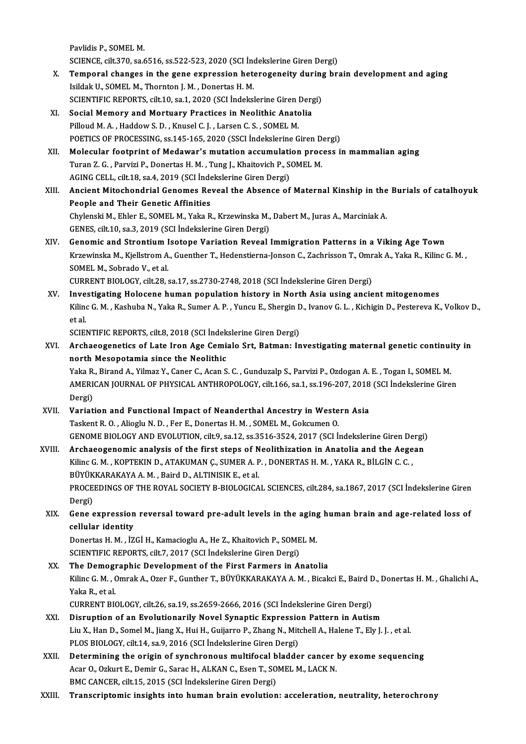Pavlidis P., SOMEL M. Pavlidis P., SOMEL M.<br>SCIENCE, cilt.370, sa.6516, ss.522-523, 2020 (SCI İndekslerine Giren Dergi)<br>Temperal shanges in the gene evnnessian hetapogeneity during hr.

- X. Temporal changes in the gene expression heterogeneity during brain development and aging SCIENCE, cilt.370, sa.6516, ss.522-523, 2020 (SCI Independent of the sense expression heto<br>Isildak U., SOMEL M., Thornton J. M. , Donertas H. M.<br>SCIENTIEIC PEPOPTS, silt 10, ss.1, 2020 (SCI Indeksi Temporal changes in the gene expression heterogeneity during<br>Isildak U., SOMEL M., Thornton J. M. , Donertas H. M.<br>SCIENTIFIC REPORTS, cilt.10, sa.1, 2020 (SCI İndekslerine Giren Dergi)<br>Secial Memery and Mertuary Practices
- XI. Social Memory and Mortuary Practices in Neolithic Anatolia<br>Pilloud M. A., Haddow S. D., Knusel C. J., Larsen C. S., SOMEL M. SCIENTIFIC REPORTS, cilt.10, sa.1, 2020 (SCI İndekslerine Giren l<br>Social Memory and Mortuary Practices in Neolithic Anato<br>Pilloud M. A. , Haddow S. D. , Knusel C. J. , Larsen C. S. , SOMEL M.<br>POETICS OF PROCESSING 58 145 1 POETICS OF PROCESSING, ss.145-165, 2020 (SSCI İndekslerine Giren Dergi)
- XII. Molecular footprint of Medawar's mutation accumulation process in mammalian aging POETICS OF PROCESSING, ss.145-165, 2020 (SSCI Indekslerine Giren D.<br>Molecular footprint of Medawar's mutation accumulation proc<br>Turan Z. G., Parvizi P., Donertas H. M., Tung J., Khaitovich P., SOMEL M.<br>ACING CELL, gilt 19, Molecular footprint of Medawar's mutation accumulati<br>Turan Z. G. , Parvizi P., Donertas H. M. , Tung J., Khaitovich P., S.<br>AGING CELL, cilt.18, sa.4, 2019 (SCI İndekslerine Giren Dergi)<br>Angiant Mitoshandrial Canamas Bayaal AGING CELL, cilt 18, sa.4, 2019 (SCI Indekslerine Giren Dergi)
- XIII. Ancient Mitochondrial Genomes Reveal the Absence of Maternal Kinship in the Burials of catalhoyuk<br>People and Their Genetic Affinities Ancient Mitochondrial Genomes Reveal the Absence of Maternal Kinship in the<br>People and Their Genetic Affinities<br>Chylenski M., Ehler E., SOMEL M., Yaka R., Krzewinska M., Dabert M., Juras A., Marciniak A.<br>CENES. sit 10, ss People and Their Genetic Affinities<br>Chylenski M., Ehler E., SOMEL M., Yaka R., Krzewinska M.,<br>GENES, cilt.10, sa.3, 2019 (SCI İndekslerine Giren Dergi)<br>Conomis and Strontium Jectone Variation Beysel
- GENES, cilt.10, sa.3, 2019 (SCI Indekslerine Giren Dergi)<br>XIV. Genomic and Strontium Isotope Variation Reveal Immigration Patterns in a Viking Age Town GENES, cilt.10, sa.3, 2019 (SCI İndekslerine Giren Dergi)<br>Genomic and Strontium Isotope Variation Reveal Immigration Patterns in a Viking Age Town<br>Krzewinska M., Kjellstrom A., Guenther T., Hedenstierna-Jonson C., Zachriss **Genomic and Strontium I**<br>Krzewinska M., Kjellstrom A.<br>SOMEL M., Sobrado V., et al.<br>CUPPENT PIOLOCY, silt 28, c Krzewinska M., Kjellstrom A., Guenther T., Hedenstierna-Jonson C., Zachrisson T., Omr<br>SOMEL M., Sobrado V., et al.<br>CURRENT BIOLOGY, cilt.28, sa.17, ss.2730-2748, 2018 (SCI İndekslerine Giren Dergi)<br>Investigating Helesene b

SOMEL M., Sobrado V., et al.<br>CURRENT BIOLOGY, cilt.28, sa.17, ss.2730-2748, 2018 (SCI Indekslerine Giren Dergi)<br>XV. Investigating Holocene human population history in North Asia using ancient mitogenomes<br>Viline C. M., Kash CURRENT BIOLOGY, cilt.28, sa.17, ss.2730-2748, 2018 (SCI İndekslerine Giren Dergi)<br>Investigating Holocene human population history in North Asia using ancient mitogenomes<br>Kilinc G. M., Kashuba N., Yaka R., Sumer A. P., Yun I<mark>nve</mark><br>Kilino<br>et al.<br>sciri Kilinc G. M. , Kashuba N., Yaka R., Sumer A. P. , Yuncu E., Shergin D<br>et al.<br>SCIENTIFIC REPORTS, cilt.8, 2018 (SCI İndekslerine Giren Dergi)<br>Archaeograpetics of Late Iran Age Camiale Srt. Batman, In

XVI. Archaeogenetics of Late Iron Age Cemialo Srt, Batman: Investigatingmaternal genetic continuity in SCIENTIFIC REPORTS, cilt.8, 2018 (SCI İndek<br>Archaeogenetics of Late Iron Age Cemi<br>north Mesopotamia since the Neolithic<br>Valta B. Birand A. Vilmar V. Canar G. Acan S Archaeogenetics of Late Iron Age Cemialo Srt, Batman: Investigating maternal genetic continui<br>north Mesopotamia since the Neolithic<br>Yaka R., Birand A., Yilmaz Y., Caner C., Acan S. C. , Gunduzalp S., Parvizi P., Ozdogan A.

north Mesopotamia since the Neolithic<br>Yaka R., Birand A., Yilmaz Y., Caner C., Acan S. C. , Gunduzalp S., Parvizi P., Ozdogan A. E. , Togan I., SOMEL M.<br>AMERICAN JOURNAL OF PHYSICAL ANTHROPOLOGY, cilt.166, sa.1, ss.196-207 Yaka R.<br>AMERI<br>Dergi)<br>Veriet AMERICAN JOURNAL OF PHYSICAL ANTHROPOLOGY, cilt.166, sa.1, ss.196-207, 2018<br>Dergi)<br>XVII. Variation and Functional Impact of Neanderthal Ancestry in Western Asia<br>Technology N.D. For F. Departs H.M. SOMEL M. Gelsuman O

Dergi)<br>Variation and Functional Impact of Neanderthal Ancestry in Weste<br>Taskent R. O. , Alioglu N. D. , Fer E., Donertas H. M. , SOMEL M., Gokcumen O.<br>CENOME PIOLOCY AND EVOLUTION si<sup>11</sup>.0, 22,<sup>2</sup>,25,24,2017 (SCL i Taskent R. O. , Alioglu N. D. , Fer E., Donertas H. M. , SOMEL M., Gokcumen O.<br>GENOME BIOLOGY AND EVOLUTION, cilt.9, sa.12, ss.3516-3524, 2017 (SCI İndekslerine Giren Dergi)

## XVIII. Archaeogenomic analysis of the first steps of Neolithization in Anatolia and the Aegean GENOME BIOLOGY AND EVOLUTION, cilt.9, sa.12, ss.3516-3524, 2017 (SCI İndekslerine Giren De<br>Archaeogenomic analysis of the first steps of Neolithization in Anatolia and the Aege<br>Kilinc G. M. , KOPTEKIN D., ATAKUMAN Ç., SUME Archaeogenomic analysis of the first steps of N<br>Kilinc G. M. , KOPTEKIN D., ATAKUMAN Ç., SUMER A. P<br>BÜYÜKKARAKAYA A. M. , Baird D., ALTINISIK E., et al.<br>PROCEEDINCS OF THE ROYAL SOCIETY P. PIOLOCICA Kilinc G. M. , KOPTEKIN D., ATAKUMAN Ç., SUMER A. P. , DONERTAS H. M. , YAKA R., BİLGİN C. C. ,<br>BÜYÜKKARAKAYA A. M. , Baird D., ALTINISIK E., et al.<br>PROCEEDINGS OF THE ROYAL SOCIETY B-BIOLOGICAL SCIENCES, cilt.284, sa.1867 BÜYÜK<br>PROCE<br>Dergi)<br>Gana

PROCEEDINGS OF THE ROYAL SOCIETY B-BIOLOGICAL SCIENCES, cilt.284, sa.1867, 2017 (SCI İndekslerine Giren<br>Dergi)<br>XIX. Gene expression reversal toward pre-adult levels in the aging human brain and age-related loss of Dergi)<br>Gene expression<br>cellular identity<br>Denertas H. M. iz Gene expression reversal toward pre-adult levels in the aging<br>cellular identity<br>Donertas H. M. , İZGİ H., Kamacioglu A., He Z., Khaitovich P., SOMEL M.<br>SCIENTIEIC PEPOPTS, cilt 7, 2017 (SCI İndekslerine Ciren Dergi)

cellular identity<br>Donertas H. M. , İZGİ H., Kamacioglu A., He Z., Khaitovich P., SOMEL M.<br>SCIENTIFIC REPORTS, cilt.7, 2017 (SCI İndekslerine Giren Dergi) Donertas H. M., İZGİ H., Kamacioglu A., He Z., Khaitovich P., SOMEL M.<br>SCIENTIFIC REPORTS, cilt.7, 2017 (SCI İndekslerine Giren Dergi)<br>XX. The Demographic Development of the First Farmers in Anatolia<br>Kiling G. M., Omrak A.

SCIENTIFIC REPORTS, cilt.7, 2017 (SCI İndekslerine Giren Dergi)<br>The Demographic Development of the First Farmers in Anatolia<br>Kilinc G. M. , Omrak A., Ozer F., Gunther T., BÜYÜKKARAKAYA A. M. , Bicakci E., Baird D., Donerta The Demogr<br>Kilinc G. M. , (<br>Yaka R., et al.<br>CUPPENT PIG Kilinc G. M. , Omrak A., Ozer F., Gunther T., BÜYÜKKARAKAYA A. M. , Bicakci E., Baird C<br>Yaka R., et al.<br>CURRENT BIOLOGY, cilt.26, sa.19, ss.2659-2666, 2016 (SCI İndekslerine Giren Dergi)<br>Disauntion of an Evolutionarily Nov Yaka R., et al.<br>CURRENT BIOLOGY, cilt.26, sa.19, ss.2659-2666, 2016 (SCI İndekslerine Giren Dergi)<br>XXI. Disruption of an Evolutionarily Novel Synaptic Expression Pattern in Autism

- CURRENT BIOLOGY, cilt.26, sa.19, ss.2659-2666, 2016 (SCI İndekslerine Giren Dergi)<br>Disruption of an Evolutionarily Novel Synaptic Expression Pattern in Autism<br>Liu X., Han D., Somel M., Jiang X., Hui H., Guijarro P., Zhang Disruption of an Evolutionarily Novel Synaptic Expressio<br>Liu X., Han D., Somel M., Jiang X., Hui H., Guijarro P., Zhang N., Mit<br>PLOS BIOLOGY, cilt.14, sa.9, 2016 (SCI İndekslerine Giren Dergi)<br>Determining the enigin of sun Liu X., Han D., Somel M., Jiang X., Hui H., Guijarro P., Zhang N., Mitchell A., Halene T., Ely J. J. , et al.<br>PLOS BIOLOGY, cilt.14, sa.9, 2016 (SCI indekslerine Giren Dergi)<br>XXII. Determining the origin of synchronous mul
- PLOS BIOLOGY, cilt.14, sa.9, 2016 (SCI İndekslerine Giren Dergi)<br>Determining the origin of synchronous multifocal bladder cancer<br>Acar O., Ozkurt E., Demir G., Sarac H., ALKAN C., Esen T., SOMEL M., LACK N.<br>PMC CANCED, silt Determining the origin of synchronous multifocal b<br>Acar O., Ozkurt E., Demir G., Sarac H., ALKAN C., Esen T., SO<br>BMC CANCER, cilt.15, 2015 (SCI İndekslerine Giren Dergi)<br>Transarintamis insishta inte human brain evolution Acar O., Ozkurt E., Demir G., Sarac H., ALKAN C., Esen T., SOMEL M., LACK N.<br>BMC CANCER, cilt.15, 2015 (SCI İndekslerine Giren Dergi)<br>XXIII. Transcriptomic insights into human brain evolution: acceleration, neutrality,
-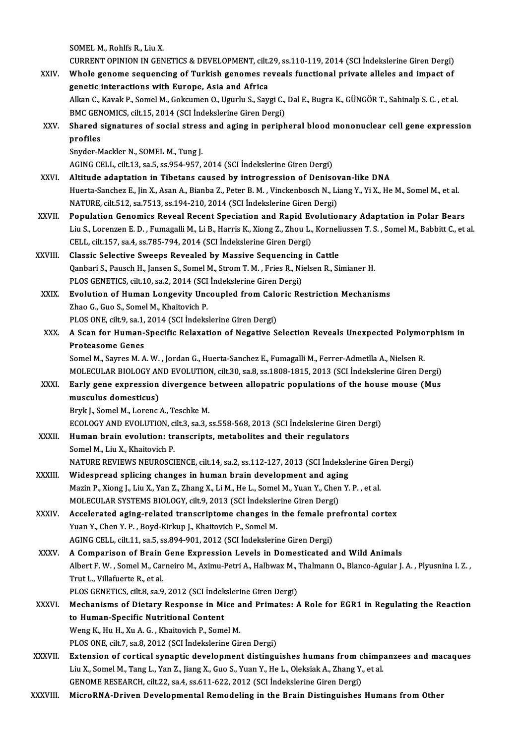SOMEL M., Rohlfs R., Liu X.

SOMEL M., Rohlfs R., Liu X.<br>CURRENT OPINION IN GENETICS & DEVELOPMENT, cilt.29, ss.110-119, 2014 (SCI İndekslerine Giren Dergi)<br>Whole genere sequencing of Turkish generes reveals functional private alleles and impect of

SOMEL M., Rohlfs R., Liu X.<br>CURRENT OPINION IN GENETICS & DEVELOPMENT, cilt.29, ss.110-119, 2014 (SCI Indekslerine Giren Dergi)<br>XXIV. Whole genome sequencing of Turkish genomes reveals functional private alleles and impact CURRENT OPINION IN GENETICS & DEVELOPMENT, cilt.<br>Whole genome sequencing of Turkish genomes re<br>genetic interactions with Europe, Asia and Africa<br>Allian C. Kavak B. Samel M. Cokayman O. Havaky S. Sav Whole genome sequencing of Turkish genomes reveals functional private alleles and impact of<br>genetic interactions with Europe, Asia and Africa<br>Alkan C., Kavak P., Somel M., Gokcumen O., Ugurlu S., Saygi C., Dal E., Bugra K. genetic interactions with Europe, Asia and Africa<br>Alkan C., Kavak P., Somel M., Gokcumen O., Ugurlu S., Saygi C.,<br>BMC GENOMICS, cilt.15, 2014 (SCI İndekslerine Giren Dergi)<br>Shared signatures of social stress and aging in p Alkan C., Kavak P., Somel M., Gokcumen O., Ugurlu S., Saygi C., Dal E., Bugra K., GÜNGÖR T., Sahinalp S. C. , et al.<br>BMC GENOMICS, cilt.15, 2014 (SCI İndekslerine Giren Dergi)<br>XXV. Shared signatures of social stress and ag

## BMC GEN<br>Shared<br>profiles<br><sup>Snuder M</sup> Shared signatures of social stres:<br>profiles<br>Snyder-Mackler N., SOMEL M., Tung J.<br>ACINC CELL silt 12, 82 5, 83.954,957 profiles<br>Snyder-Mackler N., SOMEL M., Tung J.<br>AGING CELL, cilt.13, sa.5, ss.954-957, 2014 (SCI İndekslerine Giren Dergi)

- Snyder-Mackler N., SOMEL M., Tung J.<br>AGING CELL, cilt.13, sa.5, ss.954-957, 2014 (SCI Indekslerine Giren Dergi)<br>XXVI. Altitude adaptation in Tibetans caused by introgression of Denisovan-like DNA<br>Huerta Sansher E. Jin Y. A Huerta-Sanchez E., Jin X., Asan A., Bianba Z., Peter B. M. , Vinckenbosch N., Liang Y., Yi X., He M., Somel M., et al.<br>NATURE, cilt.512, sa.7513, ss.194-210, 2014 (SCI İndekslerine Giren Dergi) Altitude adaptation in Tibetans caused by introgression of Denisov<br>Huerta-Sanchez E., Jin X., Asan A., Bianba Z., Peter B. M. , Vinckenbosch N., Li<br>NATURE, cilt.512, sa.7513, ss.194-210, 2014 (SCI İndekslerine Giren Dergi) Huerta-Sanchez E., Jin X., Asan A., Bianba Z., Peter B. M., Vinckenbosch N., Liang Y., Yi X., He M., Somel M., et al.<br>NATURE, cilt.512, sa.7513, ss.194-210, 2014 (SCI indekslerine Giren Dergi)<br>XXVII. Population Genomics Re
- NATURE, cilt.512, sa.7513, ss.194-210, 2014 (SCI İndekslerine Giren Dergi)<br>Population Genomics Reveal Recent Speciation and Rapid Evolutionary Adaptation in Polar Bears<br>Liu S., Lorenzen E. D. , Fumagalli M., Li B., Harris Population Genomics Reveal Recent Speciation and Rapid Ev<br>Liu S., Lorenzen E. D. , Fumagalli M., Li B., Harris K., Xiong Z., Zhou L.,<br>CELL, cilt.157, sa.4, ss.785-794, 2014 (SCI İndekslerine Giren Dergi)<br>Classis Selective Liu S., Lorenzen E. D. , Fumagalli M., Li B., Harris K., Xiong Z., Zhou L., Korneli<br>CELL, cilt.157, sa.4, ss.785-794, 2014 (SCI Indekslerine Giren Dergi)<br>XXVIII. Classic Selective Sweeps Revealed by Massive Sequencing in C
- CELL, cilt.157, sa.4, ss.785-794, 2014 (SCI İndekslerine Giren Dergi)<br>Classic Selective Sweeps Revealed by Massive Sequencing in Cattle<br>Qanbari S., Pausch H., Jansen S., Somel M., Strom T. M. , Fries R., Nielsen R., Simian Classic Selective Sweeps Revealed by Massive Sequencing<br>Qanbari S., Pausch H., Jansen S., Somel M., Strom T. M. , Fries R., Ni<br>PLOS GENETICS, cilt.10, sa.2, 2014 (SCI İndekslerine Giren Dergi)<br>Fyolution of Human Longewity Qanbari S., Pausch H., Jansen S., Somel M., Strom T. M., Fries R., Nielsen R., Simianer H.<br>PLOS GENETICS, cilt.10, sa.2, 2014 (SCI Indekslerine Giren Dergi)<br>XXIX. Evolution of Human Longevity Uncoupled from Caloric Restric
- PLOS GENETICS, cilt.10, sa.2, 2014 (SCI<br>Evolution of Human Longevity Unc<br>Zhao G., Guo S., Somel M., Khaitovich P.<br>PLOS ONE silt.9, sa.1, 2014 (SCI Indeks Evolution of Human Longevity Uncoupled from Calc<br>Zhao G., Guo S., Somel M., Khaitovich P.<br>PLOS ONE, cilt.9, sa.1, 2014 (SCI İndekslerine Giren Dergi)<br>A Scan for Human Specific Belayation of Negative S.
- Zhao G., Guo S., Somel M., Khaitovich P.<br>PLOS ONE, cilt.9, sa.1, 2014 (SCI İndekslerine Giren Dergi)<br>XXX. A Scan for Human-Specific Relaxation of Negative Selection Reveals Unexpected Polymorphism in<br>Proteccome Cenes PLOS ONE, cilt.9, sa.1,<br>A Scan for Human-<br>Proteasome Genes<br>Somel M. Saures M. A A Scan for Human-Specific Relaxation of Negative Selection Reveals Unexpected Polymo<br>Proteasome Genes<br>Somel M., Sayres M. A. W. , Jordan G., Huerta-Sanchez E., Fumagalli M., Ferrer-Admetlla A., Nielsen R.<br>MOLECULAR RIOLOCY

Proteasome Genes<br>Somel M., Sayres M. A. W. , Jordan G., Huerta-Sanchez E., Fumagalli M., Ferrer-Admetlla A., Nielsen R.<br>MOLECULAR BIOLOGY AND EVOLUTION, cilt.30, sa.8, ss.1808-1815, 2013 (SCI İndekslerine Giren Dergi)<br>Farl

## Somel M., Sayres M. A. W., Jordan G., Huerta-Sanchez E., Fumagalli M., Ferrer-Admetlla A., Nielsen R.<br>MOLECULAR BIOLOGY AND EVOLUTION, cilt.30, sa.8, ss.1808-1815, 2013 (SCI Indekslerine Giren Dergi)<br>XXXI. Early gene expre MOLECULAR BIOLOGY AN<br>Early gene expression<br>musculus domesticus)<br>Pruk L Somel M Lerenc musculus domesticus)<br>Bryk J., Somel M., Lorenc A., Teschke M.<br>ECOLOGY AND EVOLUTION, cilt.3, sa.3, ss.558-568, 2013 (SCI İndekslerine Giren Dergi)<br>Human brain evolution: transarinta, matabolitas and their regulators

Bryk J., Somel M., Lorenc A., Teschke M.

Bryk J., Somel M., Lorenc A., Teschke M.<br>ECOLOGY AND EVOLUTION, cilt.3, sa.3, ss.558-568, 2013 (SCI Indekslerine Gire<br>XXXII. Human brain evolution: transcripts, metabolites and their regulators<br>Samel M. Liu Y. Khaitovish P ECOLOGY AND EVOLUTION, c<br>Human brain evolution: tr<br>Somel M., Liu X., Khaitovich P.<br>NATURE REVIEWS NEUPOSCI Human brain evolution: transcripts, metabolites and their regulators<br>Somel M., Liu X., Khaitovich P.<br>NATURE REVIEWS NEUROSCIENCE, cilt.14, sa.2, ss.112-127, 2013 (SCI İndekslerine Giren Dergi)<br>Wideenreed enlising ebangee i

- Somel M., Liu X., Khaitovich P.<br>NATURE REVIEWS NEUROSCIENCE, cilt.14, sa.2, ss.112-127, 2013 (SCI Indeksle<br>XXXIII. Widespread splicing changes in human brain development and aging<br>Marin B. Vieng L. Liu X. Van Z. Zhang X. L NATURE REVIEWS NEUROSCIENCE, cilt.14, sa.2, ss.112-127, 2013 (SCI İndekslerine Gire<br>Widespread splicing changes in human brain development and aging<br>Mazin P., Xiong J., Liu X., Yan Z., Zhang X., Li M., He L., Somel M., Yua Widespread splicing changes in human brain development and agir<br>Mazin P., Xiong J., Liu X., Yan Z., Zhang X., Li M., He L., Somel M., Yuan Y., Chen<br>MOLECULAR SYSTEMS BIOLOGY, cilt.9, 2013 (SCI İndekslerine Giren Dergi)<br>Acc Mazin P., Xiong J., Liu X., Yan Z., Zhang X., Li M., He L., Somel M., Yuan Y., Chen Y. P. , et al.<br>MOLECULAR SYSTEMS BIOLOGY, cilt. (19, 2013 (SCI Indekslerine Giren Dergi)<br>XXXIV. Accelerated aging-related transcriptome ch
- MOLECULAR SYSTEMS BIOLOGY, cilt.9, 2013 (SCI İndekslerine Giren Dergi)<br>Accelerated aging-related transcriptome changes in the female pre<br>Yuan Y., Chen Y. P., Boyd-Kirkup J., Khaitovich P., Somel M.<br>AGING CELL, cilt.11, sa. Accelerated aging-related transcriptome changes in the female prefrontal cortex

## XXXV. A Comparison of Brain Gene Expression Levels in Domesticated and Wild Animals AGING CELL, cilt.11, sa.5, ss.894-901, 2012 (SCI İndekslerine Giren Dergi)<br>A Comparison of Brain Gene Expression Levels in Domesticated and Wild Animals<br>Albert F. W. , Somel M., Carneiro M., Aximu-Petri A., Halbwax M., Tha Trut L., Villafuerte R., et al. Albert F. W. , Somel M., Carneiro M., Aximu-Petri A., Halbwax M., '<br>Trut L., Villafuerte R., et al.<br>PLOS GENETICS, cilt.8, sa.9, 2012 (SCI İndekslerine Giren Dergi)<br>Mechanisms of Distany Bosnansa in Mise and Primates.

- 
- Trut L., Villafuerte R., et al.<br>PLOS GENETICS, cilt.8, sa.9, 2012 (SCI İndekslerine Giren Dergi)<br>XXXVI. Mechanisms of Dietary Response in Mice and Primates: A Role for EGR1 in Regulating the Reaction<br>to Human Specific Nutr PLOS GENETICS, cilt.8, sa.9, 2012 (SCI Indekslerine Giren Dergi)<br>Mechanisms of Dietary Response in Mice and Primates: 1<br>to Human-Specific Nutritional Content<br>Weng K., Hu H., Xu A. G., Khaitovich P., Somel M. Mechanisms of Dietary Response in Mice a<br>to Human-Specific Nutritional Content<br>Weng K., Hu H., Xu A. G. , Khaitovich P., Somel M.<br>PLOS ONE silt 7, 20.9, 2012 (SCL indekslering Gir

PLOS ONE, cilt.7, sa.8, 2012 (SCI İndekslerine Giren Dergi)

- Weng K., Hu H., Xu A. G. , Khaitovich P., Somel M.<br>PLOS ONE, cilt.7, sa.8, 2012 (SCI Indekslerine Giren Dergi)<br>XXXVII. Extension of cortical synaptic development distinguishes humans from chimpanzees and macaques<br>Liu X. So PLOS ONE, cilt.7, sa.8, 2012 (SCI İndekslerine Giren Dergi)<br>Extension of cortical synaptic development distinguishes humans from chimp.<br>Liu X., Somel M., Tang L., Yan Z., Jiang X., Guo S., Yuan Y., He L., Oleksiak A., Zhan Extension of cortical synaptic development distinguishes humans from c<br>Liu X., Somel M., Tang L., Yan Z., Jiang X., Guo S., Yuan Y., He L., Oleksiak A., Zhang Y.<br>GENOME RESEARCH, cilt.22, sa.4, ss.611-622, 2012 (SCI İndeks Liu X., Somel M., Tang L., Yan Z., Jiang X., Guo S., Yuan Y., He L., Oleksiak A., Zhang Y., et al.<br>GENOME RESEARCH, cilt.22, sa.4, ss.611-622, 2012 (SCI İndekslerine Giren Dergi)<br>XXXVIII. MicroRNA-Driven Developmental
-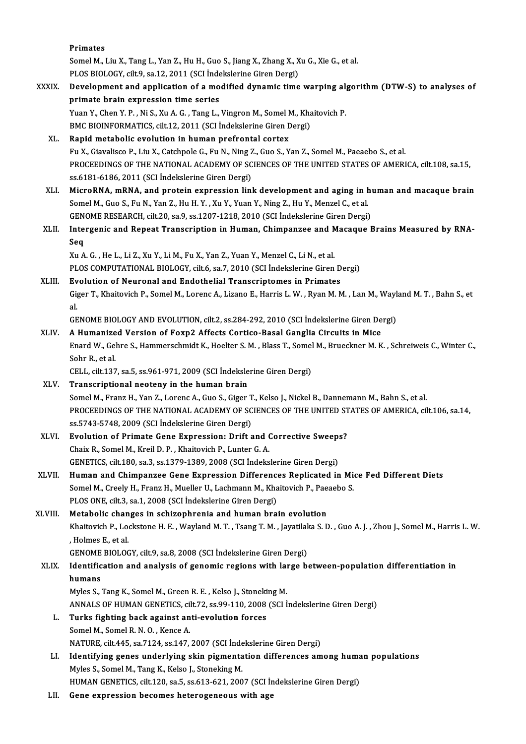|              | Primates                                                                                                                 |
|--------------|--------------------------------------------------------------------------------------------------------------------------|
|              | Somel M., Liu X., Tang L., Yan Z., Hu H., Guo S., Jiang X., Zhang X., Xu G., Xie G., et al.                              |
|              | PLOS BIOLOGY, cilt.9, sa.12, 2011 (SCI Indekslerine Giren Dergi)                                                         |
| <b>XXXIX</b> | Development and application of a modified dynamic time warping algorithm (DTW-S) to analyses of                          |
|              | primate brain expression time series                                                                                     |
|              | Yuan Y., Chen Y. P., Ni S., Xu A. G., Tang L., Vingron M., Somel M., Khaitovich P.                                       |
|              | BMC BIOINFORMATICS, cilt.12, 2011 (SCI İndekslerine Giren Dergi)                                                         |
| XL.          | Rapid metabolic evolution in human prefrontal cortex                                                                     |
|              | Fu X., Giavalisco P., Liu X., Catchpole G., Fu N., Ning Z., Guo S., Yan Z., Somel M., Paeaebo S., et al.                 |
|              | PROCEEDINGS OF THE NATIONAL ACADEMY OF SCIENCES OF THE UNITED STATES OF AMERICA, cilt.108, sa.15,                        |
|              | ss.6181-6186, 2011 (SCI İndekslerine Giren Dergi)                                                                        |
| XLI.         | MicroRNA, mRNA, and protein expression link development and aging in human and macaque brain                             |
|              | Somel M., Guo S., Fu N., Yan Z., Hu H. Y., Xu Y., Yuan Y., Ning Z., Hu Y., Menzel C., et al.                             |
|              | GENOME RESEARCH, cilt.20, sa.9, ss.1207-1218, 2010 (SCI İndekslerine Giren Dergi)                                        |
| XLII.        | Intergenic and Repeat Transcription in Human, Chimpanzee and Macaque Brains Measured by RNA-                             |
|              | Seq<br>Xu A. G., He L., Li Z., Xu Y., Li M., Fu X., Yan Z., Yuan Y., Menzel C., Li N., et al.                            |
|              | PLOS COMPUTATIONAL BIOLOGY, cilt.6, sa.7, 2010 (SCI Indekslerine Giren Dergi)                                            |
| XLIII.       | Evolution of Neuronal and Endothelial Transcriptomes in Primates                                                         |
|              | Giger T., Khaitovich P., Somel M., Lorenc A., Lizano E., Harris L. W., Ryan M. M., Lan M., Wayland M. T., Bahn S., et    |
|              | al.                                                                                                                      |
|              | GENOME BIOLOGY AND EVOLUTION, cilt.2, ss.284-292, 2010 (SCI Indekslerine Giren Dergi)                                    |
| XLIV.        | A Humanized Version of Foxp2 Affects Cortico-Basal Ganglia Circuits in Mice                                              |
|              | Enard W., Gehre S., Hammerschmidt K., Hoelter S. M., Blass T., Somel M., Brueckner M. K., Schreiweis C., Winter C.,      |
|              | Sohr R, et al.                                                                                                           |
|              | CELL, cilt 137, sa 5, ss 961-971, 2009 (SCI İndekslerine Giren Dergi)                                                    |
| XLV.         | Transcriptional neoteny in the human brain                                                                               |
|              | Somel M., Franz H., Yan Z., Lorenc A., Guo S., Giger T., Kelso J., Nickel B., Dannemann M., Bahn S., et al.              |
|              | PROCEEDINGS OF THE NATIONAL ACADEMY OF SCIENCES OF THE UNITED STATES OF AMERICA, cilt.106, sa.14,                        |
|              | ss 5743-5748, 2009 (SCI İndekslerine Giren Dergi)                                                                        |
| XLVI.        | Evolution of Primate Gene Expression: Drift and Corrective Sweeps?                                                       |
|              | Chaix R., Somel M., Kreil D. P., Khaitovich P., Lunter G. A.                                                             |
|              | GENETICS, cilt.180, sa.3, ss.1379-1389, 2008 (SCI Indekslerine Giren Dergi)                                              |
| XLVII.       | Human and Chimpanzee Gene Expression Differences Replicated in Mice Fed Different Diets                                  |
|              | Somel M., Creely H., Franz H., Mueller U., Lachmann M., Khaitovich P., Paeaebo S.                                        |
|              | PLOS ONE, cilt.3, sa.1, 2008 (SCI Indekslerine Giren Dergi)                                                              |
| XLVIII.      | Metabolic changes in schizophrenia and human brain evolution                                                             |
|              | Khaitovich P., Lockstone H. E., Wayland M. T., Tsang T. M., Jayatilaka S. D., Guo A. J., Zhou J., Somel M., Harris L. W. |
|              | , Holmes E, et al.<br>GENOME BIOLOGY, cilt 9, sa.8, 2008 (SCI Indekslerine Giren Dergi)                                  |
| XLIX.        | Identification and analysis of genomic regions with large between-population differentiation in                          |
|              | humans                                                                                                                   |
|              | Myles S., Tang K., Somel M., Green R. E., Kelso J., Stoneking M.                                                         |
|              | ANNALS OF HUMAN GENETICS, cilt.72, ss.99-110, 2008 (SCI Indekslerine Giren Dergi)                                        |
| L.           | Turks fighting back against anti-evolution forces                                                                        |
|              | Somel M., Somel R. N. O., Kence A.                                                                                       |
|              | NATURE, cilt.445, sa.7124, ss.147, 2007 (SCI Indekslerine Giren Dergi)                                                   |
| LI.          | Identifying genes underlying skin pigmentation differences among human populations                                       |
|              | Myles S., Somel M., Tang K., Kelso J., Stoneking M.                                                                      |
|              | HUMAN GENETICS, cilt.120, sa.5, ss.613-621, 2007 (SCI Indekslerine Giren Dergi)                                          |
| LII.         | Gene expression becomes heterogeneous with age                                                                           |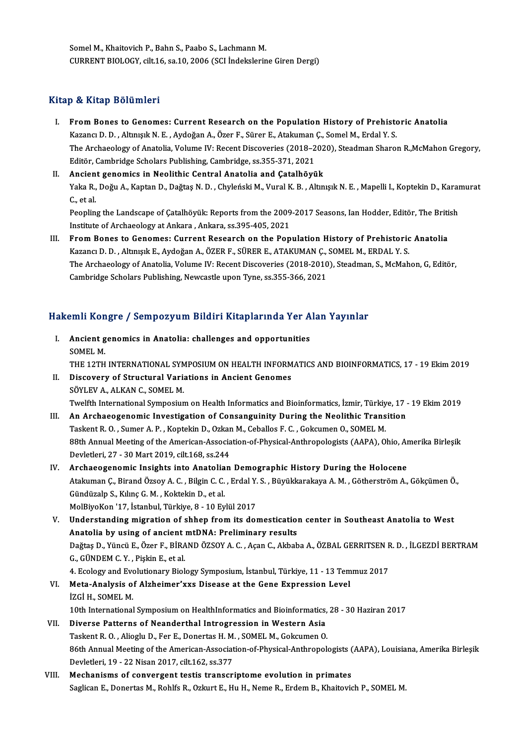Somel M., Khaitovich P., Bahn S., Paabo S., Lachmann M. CURRENT BIOLOGY, cilt.16, sa.10, 2006 (SCI İndekslerine Giren Dergi)

## Kitap & Kitap Bölümleri

- Itap & Kitap Bölümleri<br>I. From Bones to Genomes: Current Research on the Population History of Prehistoric Anatolia<br>Karancu D. D. Altmek N. E. Aydeğan A. Özer E. Sürer E. Atakuman G. Samel M. Erdal V. S. Kazancı D. Solalması<br>Kazancı D. D. , Altınışık N. E. , Aydoğan A., Özer F., Sürer E., Atakuman Ç., Somel M., Erdal Y. S.<br>The Archaeology of Anatolia Volume IV. Bosont Dissoveries (2019–2020), Stoodman Sharol From Bones to Genomes: Current Research on the Population History of Prehistoric Anatolia<br>Kazancı D. D. , Altınışık N. E. , Aydoğan A., Özer F., Sürer E., Atakuman Ç., Somel M., Erdal Y. S.<br>The Archaeology of Anatolia, Vol Kazancı D. D. , Altınışık N. E. , Aydoğan A., Özer F., Sürer E., Atakuman Ç., Somel M., Erdal Y. S.<br>The Archaeology of Anatolia, Volume IV: Recent Discoveries (2018–2020), Steadman Sharoı<br>Editör, Cambridge Scholars Publish The Archaeology of Anatolia, Volume IV: Recent Discoveries (2018–202<br>Editör, Cambridge Scholars Publishing, Cambridge, ss.355-371, 2021<br>II. Ancient genomics in Neolithic Central Anatolia and Çatalhöyük<br>Vela B. Değu A. Kapt
- Editör, Cambridge Scholars Publishing, Cambridge, ss.355-371, 2021<br><mark>Ancient genomics in Neolithic Central Anatolia and Çatalhöyük</mark><br>Yaka R., Doğu A., Kaptan D., Dağtaş N. D. , Chyleński M., Vural K. B. , Altınışık N. E. , M Ancien<br>Yaka R.,<br>C., et al. Yaka R., Doğu A., Kaptan D., Dağtaş N. D. , Chyleński M., Vural K. B. , Altınışık N. E. , Mapelli I., Koptekin D., Karar<br>C., et al.<br>Peopling the Landscape of Çatalhöyük: Reports from the 2009-2017 Seasons, Ian Hodder, Edit

C., et al.<br>Peopling the Landscape of Çatalhöyük: Reports from the 2009-2017 Seasons, Ian Hodder, Editör, The British<br>Institute of Archaeology at Ankara , Ankara, ss.395-405, 2021

III. From Bones to Genomes: Current Research on the Population History of Prehistoric Anatolia Institute of Archaeology at Ankara , Ankara, ss.395-405, 2021<br>From Bones to Genomes: Current Research on the Population History of Prehistoric<br>Kazancı D. D. , Altınışık E., Aydoğan A., ÖZER F., SÜRER E., ATAKUMAN Ç., SOMEL The Archaeology of Anatolia, Volume IV: Recent Discoveries (2018-2010), Steadman, S., McMahon, G, Editör, Cambridge Scholars Publishing, Newcastle upon Tyne, ss.355-366, 2021 Kazancı D. D. , Altınışık E., Aydoğan A., ÖZER F., SÜRER E., ATAKUMAN Ç.,<br>The Archaeology of Anatolia, Volume IV: Recent Discoveries (2018-2010<br>Cambridge Scholars Publishing, Newcastle upon Tyne, ss.355-366, 2021

# tambridge scholars Publishing, Newcasue upon Tyne, ss.355-366, 2021<br>Hakemli Kongre / Sempozyum Bildiri Kitaplarında Yer Alan Yayınlar

- akemli Kongre / Sempozyum Bildiri Kitaplarında Yer A<br>I. Ancient genomics in Anatolia: challenges and opportunities<br>SOMELM I. Ancient genomics in Anatolia: challenges and opportunities<br>SOMEL M. THE 12TH INTERNATIONAL SYMPOSIUM ON HEALTH INFORMATICS AND BIOINFORMATICS, 17 - 19 Ekim 2019 SOMEL M.<br>THE 12TH INTERNATIONAL SYMPOSIUM ON HEALTH INFORM<br>II. Discovery of Structural Variations in Ancient Genomes<br>SÖVLEV A ALKAN G SOMEL M THE 12TH INTERNATIONAL SYM<br>Discovery of Structural Varia<br>SÖYLEV A., ALKAN C., SOMEL M.<br>Tuglith International Sumposium SÖYLEV A., ALKAN C., SOMEL M.<br>Twelfth International Symposium on Health Informatics and Bioinformatics, İzmir, Türkiye, 17 - 19 Ekim 2019
- III. An Archaeogenomic Investigation of Consanguinity During the Neolithic Transition Twelfth International Symposium on Health Informatics and Bioinformatics, İzmir, Türkiy<br>An Archaeogenomic Investigation of Consanguinity During the Neolithic Trans<br>Taskent R. O. , Sumer A. P. , Koptekin D., Ozkan M., Cebal 88th Annual Meeting of the American-Association-of-Physical-Anthropologists (AAPA), Ohio, Amerika Birleşik<br>Devletleri, 27 - 30 Mart 2019, cilt.168, ss.244 Taskent R. O. , Sumer A. P. , Koptekin D., Ozkar<br>88th Annual Meeting of the American-Associa<br>Devletleri, 27 - 30 Mart 2019, cilt.168, ss.244<br>Arshaeoscanomia Insishts inte Anstelian 88th Annual Meeting of the American-Association-of-Physical-Anthropologists (AAPA), Ohio, Ar<br>Devletleri, 27 - 30 Mart 2019, cilt.168, ss.244<br>IV. Archaeogenomic Insights into Anatolian Demographic History During the Holocen
- Atakuman Ç., Birand Özsoy A. C. , Bilgin C. C. , Erdal Y. S. , Büyükkarakaya A. M. , Götherström A., Gökçümen Ö.,<br>Gündüzalp S., Kılınç G. M. , Koktekin D., et al. Archaeogenomic Insights into Anatolia<br>Atakuman Ç., Birand Özsoy A. C. , Bilgin C. C.<br>Gündüzalp S., Kılınç G. M. , Koktekin D., et al.<br>MolBiyoKon '17, İstanbul Türkiye 8, 10 Ev MolBiyoKon'17, İstanbul,Türkiye,8 -10Eylül2017 Gündüzalp S., Kılınç G. M. , Koktekin D., et al.<br>MolBiyoKon '17, İstanbul, Türkiye, 8 - 10 Eylül 2017<br>V. Understanding migration of shhep from its domestication center in Southeast Anatolia to West<br>Anatolia by using of ang
- MolBiyoKon '17, İstanbul, Türkiye, 8 10 Eylül 2017<br>Understanding migration of shhep from its domestication<br>Anatolia by using of ancient mtDNA: Preliminary results<br>Peğtes D. Yüngü E. Özer E. BiRAND ÖZSOY A.C. Asan C. Akba Understanding migration of shhep from its domestication center in Southeast Anatolia to West<br>Anatolia by using of ancient mtDNA: Preliminary results<br>Dağtaş D., Yüncü E., Özer F., BİRAND ÖZSOY A. C. , Açan C., Akbaba A., ÖZ Anatolia by using of ancient<br>Dağtaş D., Yüncü E., Özer F., BİRA<br>G., GÜNDEM C. Y. , Pişkin E., et al.<br>4. Esology and Evolutionewy Biol. Dağtaş D., Yüncü E., Özer F., BİRAND ÖZSOY A. C. , Açan C., Akbaba A., ÖZBAL GERRITSEN F<br>G., GÜNDEM C. Y. , Pişkin E., et al.<br>4. Ecology and Evolutionary Biology Symposium, İstanbul, Türkiye, 11 - 13 Temmuz 2017<br>Meta Analy

G., GÜNDEM C. Y. , Pişkin E., et al.<br>4. Ecology and Evolutionary Biology Symposium, İstanbul, Türkiye, 11 - 13 Tem<br>VI. Meta-Analysis of Alzheimer'xxs Disease at the Gene Expression Level<br>İZCİ H. SOMEL M 4. Ecology and Eve<br>Meta-Analysis o<br>İZGİ H., SOMEL M.<br>10th International 12G1 H., SOMEL M.<br>10th International Symposium on HealthInformatics and Bioinformatics, 28 - 30 Haziran 2017

- iZGİ H., SOMEL M.<br>10th International Symposium on HealthInformatics and Bioinformatics,<br>VII. Diverse Patterns of Neanderthal Introgression in Western Asia<br>Technot B.O., Alicely D. For E. Donortes H.M. SOMEL M. Gelraumen O. 10th International Symposium on HealthInformatics and Bioinformatics,<br>Diverse Patterns of Neanderthal Introgression in Western Asia<br>Taskent R. O., Alioglu D., Fer E., Donertas H. M., SOMEL M., Gokcumen O.<br>86th Annual Meeti 86th Annual Meeting of the American-Association-of-Physical-Anthropologists (AAPA), Louisiana, Amerika Birleşik<br>Devletleri, 19 - 22 Nisan 2017, cilt.162, ss.377 Taskent R. O., Alioglu D., Fer E., Donertas H. M., SOMEL M., Gokcumen O.
- VIII. Mechanisms of convergent testis transcriptome evolution in primates Saglican E., Donertas M., Rohlfs R., Ozkurt E., Hu H., Neme R., Erdem B., Khaitovich P., SOMEL M.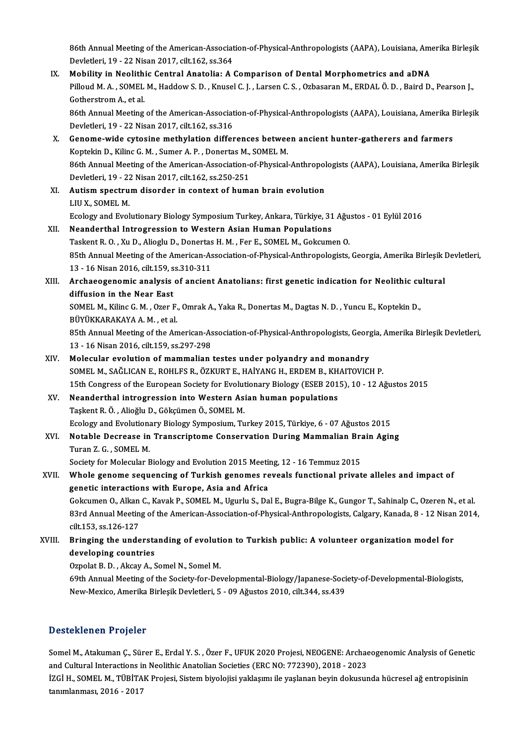86th Annual Meeting of the American-Association-of-Physical-Anthropologists (AAPA), Louisiana, Amerika Birleşik<br>Revlatleri 19, ...22 Nisan 2017, silt 162, se 264. 86th Annual Meeting of the American-Associat<br>Devletleri, 19 - 22 Nisan 2017, cilt.162, ss.364<br>Mobility in Noolithis Central Anatolia: A 4 86th Annual Meeting of the American-Association-of-Physical-Anthropologists (AAPA), Louisiana, American-Oriented Buches (AAPA), Louisiana, American-Oriented Buches (AAPA), Louisiana, American Develetion of Dental Morphomet

Devletleri, 19 - 22 Nisan 2017, cilt.162, ss.364<br>Mobility in Neolithic Central Anatolia: A Comparison of Dental Morphometrics and aDNA<br>Pilloud M. A. , SOMEL M., Haddow S. D. , Knusel C. J. , Larsen C. S. , Ozbasaran M., ER Mobility in Neolith<br>Pilloud M.A., SOMEL<br>Gotherstrom A., et al. Pilloud M. A. , SOMEL M., Haddow S. D. , Knusel C. J. , Larsen C. S. , Ozbasaran M., ERDAL Ö. D. , Baird D., Pearson J.,<br>Gotherstrom A., et al.<br>86th Annual Meeting of the American-Association-of-Physical-Anthropologists (A

Gotherstrom A., et al.<br>86th Annual Meeting of the American-Associat<br>Devletleri, 19 - 22 Nisan 2017, cilt.162, ss.316<br>Conome wide sytesine methylation differ 86th Annual Meeting of the American-Association-of-Physical-Anthropologists (AAPA), Louisiana, Amerika E<br>Devletleri, 19 - 22 Nisan 2017, cilt.162, ss.316<br>X. Genome-wide cytosine methylation differences between ancient hunt

- Devletleri, 19 22 Nisan 2017, cilt.162, ss.316<br>Genome-wide cytosine methylation differences betwee<br>Koptekin D., Kilinc G. M. , Sumer A. P. , Donertas M., SOMEL M.<br>96th Annual Mesting of the American Association of Physic Genome-wide cytosine methylation differences between ancient hunter-gatherers and farmers<br>Koptekin D., Kilinc G. M. , Sumer A. P. , Donertas M., SOMEL M.<br>86th Annual Meeting of the American-Association-of-Physical-Anthropo Koptekin D., Kilinc G. M. , Sumer A. P. , Donertas M., SOMEL M.<br>86th Annual Meeting of the American-Association-of-Physical-Anthropo<br>Devletleri, 19 - 22 Nisan 2017, cilt.162, ss.250-251<br>XI. Autism spectrum disorder in cont 86th Annual Meeting of the American-Association-of-Physical-Anthropol<br>Devletleri, 19 - 22 Nisan 2017, cilt.162, ss.250-251<br>XI. Autism spectrum disorder in context of human brain evolution<br>UIUX SOMELM
- Devletleri, 19 22 Nisan 2017, cilt.162, ss.250-251<br>Autism spectrum disorder in context of hum<br>LIUX., SOMEL M. Autism spectrum disorder in context of human brain evolution<br>LIU X., SOMEL M.<br>Ecology and Evolutionary Biology Symposium Turkey, Ankara, Türkiye, 31 Ağustos - 01 Eylül 2016<br>Neanderthel Intregression to Western Asian Human

## LIU X., SOMEL M.<br>Ecology and Evolutionary Biology Symposium Turkey, Ankara, Türkiye, 31<br>XII. Neanderthal Introgression to Western Asian Human Populations<br>Teckent B.O., Yu D. Aliegly D. Denertee H.M., Eer E. SOMEL M. Gekenm Ecology and Evolutionary Biology Symposium Turkey, Ankara, Türkiye, 31 Ağu<br>Neanderthal Introgression to Western Asian Human Populations<br>Taskent R. O. , Xu D., Alioglu D., Donertas H. M. , Fer E., SOMEL M., Gokcumen O.<br>85th Neanderthal Introgression to Western Asian Human Populations<br>Taskent R. O. , Xu D., Alioglu D., Donertas H. M. , Fer E., SOMEL M., Gokcumen O.<br>85th Annual Meeting of the American-Association-of-Physical-Anthropologists, Ge Taskent R. O., Xu D., Alioglu D., Donertas H. M., Fer E., SOMEL M., Gokcumen O. 85th Annual Meeting of the American-Association-of-Physical-Anthropologists, Georgia, Amerika Birleşik I<br>13 - 16 Nisan 2016, cilt.159, ss.310-311<br>XIII. Archaeogenomic analysis of ancient Anatolians: first genetic indicatio

13 - 16 Nisan 2016, cilt.159, s<br>Archaeogenomic analysis<br>diffusion in the Near East<br>SOMEL M. Kiling C. M. Oran L Archaeogenomic analysis of ancient Anatolians: first genetic indication for Neolithic cu<br>diffusion in the Near East<br>SOMEL M., Kilinc G. M. , Ozer F., Omrak A., Yaka R., Donertas M., Dagtas N. D. , Yuncu E., Koptekin D.,<br>PÜ

diffusion in the Near East<br>SOMEL M., Kilinc G. M. , Ozer F.<br>BÜYÜKKARAKAYA A. M. , et al.<br>95th Annual Mesting of the An SOMEL M., Kilinc G. M. , Ozer F., Omrak A., Yaka R., Donertas M., Dagtas N. D. , Yuncu E., Koptekin D.,<br>BÜYÜKKARAKAYA A. M. , et al.<br>85th Annual Meeting of the American-Association-of-Physical-Anthropologists, Georgia, Ame

BÜYÜKKARAKAYA A. M. , et al.<br>85th Annual Meeting of the American-As<br>13 - 16 Nisan 2016, cilt.159, ss.297-298<br>Melacular evolution of mammalian 85th Annual Meeting of the American-Association-of-Physical-Anthropologists, Georg<br>13 - 16 Nisan 2016, cilt.159, ss.297-298<br>XIV. Molecular evolution of mammalian testes under polyandry and monandry<br>SOMELM, SAČLICAN E, POUL

- 13 16 Nisan 2016, cilt.159, ss.297-298<br>Molecular evolution of mammalian testes under polyandry and monandry<br>SOMEL M., SAĞLICAN E., ROHLFS R., ÖZKURT E., HAİYANG H., ERDEM B., KHAITOVICH P.<br>15th Congress of the European S Molecular evolution of mammalian testes under polyandry and monandry<br>SOMEL M., SAĞLICAN E., ROHLFS R., ÖZKURT E., HAİYANG H., ERDEM B., KHAITOVICH P.<br>15th Congress of the European Society for Evolutionary Biology (ESEB 201 SOMEL M., SAĞLICAN E., ROHLFS R., ÖZKURT E., HAİYANG H., ERDEM B., KH<br>15th Congress of the European Society for Evolutionary Biology (ESEB 201<br>XV. Neanderthal introgression into Western Asian human populations<br>Teckent B. Ö
- Taşkent R. Ö., Alioğlu D., Gökçümen Ö., SOMEL M. Neanderthal introgression into Western Asian human populations<br>Taşkent R. Ö. , Alioğlu D., Gökçümen Ö., SOMEL M.<br>Ecology and Evolutionary Biology Symposium, Turkey 2015, Türkiye, 6 - 07 Ağustos 2015<br>Notable Desresse in Tra Taşkent R. Ö. , Alioğlu D., Gökçümen Ö., SOMEL M.<br>Ecology and Evolutionary Biology Symposium, Turkey 2015, Türkiye, 6 - 07 Ağustos 2015<br>XVI. Notable Decrease in Transcriptome Conservation During Mammalian Brain Aging<br>Turen
- Ecology and Evolution<br>**Notable Decrease in<br>Turan Z.G., SOMEL M.**<br>Society for Molecular E Notable Decrease in Transcriptome Conservation During Mammalian Bra<br>Turan Z. G., SOMEL M.<br>Society for Molecular Biology and Evolution 2015 Meeting, 12 - 16 Temmuz 2015<br>Whole genere sequencing of Turkish generos reveals fun

Society for Molecular Biology and Evolution 2015 Meeting, 12 - 16 Temmuz 2015

## Turan Z. G., SOMEL M.<br>Society for Molecular Biology and Evolution 2015 Meeting, 12 - 16 Temmuz 2015<br>XVII. Whole genome sequencing of Turkish genomes reveals functional private alleles and impact of<br>genetic interactions wit Whole genome sequencing of Turkish genomes reveals functional private alleles and impact of<br>genetic interactions with Europe, Asia and Africa<br>Gokcumen O., Alkan C., Kavak P., SOMEL M., Ugurlu S., Dal E., Bugra-Bilge K., Gu

83rd Annual Meeting of the American-Association-of-Physical-Anthropologists, Calgary, Kanada, 8 - 12 Nisan 2014, cilt.153, ss.126-127 Gokcumen O., Alkan<br>83rd Annual Meetin<br>cilt.153, ss.126-127<br>Pringing the unde 83rd Annual Meeting of the American-Association-of-Physical-Anthropologists, Calgary, Kanada, 8 - 12 Nisan<br>cilt.153, ss.126-127<br>XVIII. Bringing the understanding of evolution to Turkish public: A volunteer organization mod

cilt.153, ss.126-127<br>Bringing the understa<br>developing countries Bringing the understanding of evoluti<br>developing countries<br>Ozpolat B. D. , Akcay A., Somel N., Somel M.<br>60th Annual Meeting of the Society for Dev

developing countries<br>Ozpolat B. D. , Akcay A., Somel N., Somel M.<br>69th Annual Meeting of the Society-for-Developmental-Biology/Japanese-Society-of-Developmental-Biologists,<br>Nau Marise, Amerika Birlosik Devletleri, 5, , 09, Ozpolat B. D. , Akcay A., Somel N., Somel M.<br>69th Annual Meeting of the Society-for-Developmental-Biology/Japanese-Soci<br>New-Mexico, Amerika Birleşik Devletleri, 5 - 09 Ağustos 2010, cilt.344, ss.439 New-Mexico, Amerika Birleşik Devletleri, 5 - 09 Ağustos 2010, cilt.344, ss.439<br>Desteklenen Projeler

Desteklenen Projeler<br>Somel M., Atakuman Ç., Sürer E., Erdal Y. S. , Özer F., UFUK 2020 Projesi, NEOGENE: Archaeogenomic Analysis of Genetic<br>and Cultural Internations in Neolithis Anatolian Segisties (EBC NO: 772200), 2018– and Cultural Interactions in Territons Somel M., Atakuman C., Sürer E., Erdal Y. S. , Özer F., UFUK 2020 Projesi, NEOGENE: Archae<br>And Cultural Interactions in Neolithic Anatolian Societies (ERC NO: 772390), 2018 - 2023<br>17C Somel M., Atakuman Ç., Sürer E., Erdal Y. S. , Özer F., UFUK 2020 Projesi, NEOGENE: Archaeogenomic Analysis of Geneti<br>and Cultural Interactions in Neolithic Anatolian Societies (ERC NO: 772390), 2018 - 2023<br>İZGİ H., SOMEL

and Cultural Interactions i<br>İZGİ H., SOMEL M., TÜBİTA<br>tanımlanması, 2016 - 2017